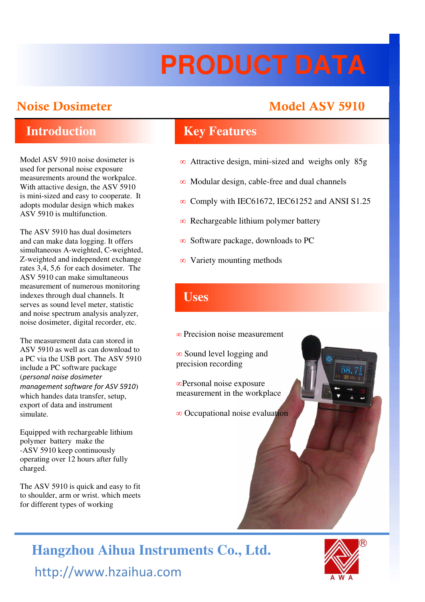# **PRODUCT DATA**

# **Noise Dosimeter Model ASV 5910**

Model ASV 5910 noise dosimeter is used for personal noise exposure measurements around the workpalce. With attactive design, the ASV 5910 is mini-sized and easy to cooperate. It adopts modular design which makes ASV 5910 is multifunction.

The ASV 5910 has dual dosimeters and can make data logging. It offers simultaneous A-weighted, C-weighted, Z-weighted and independent exchange rates 3,4, 5,6 for each dosimeter. The ASV 5910 can make simultaneous measurement of numerous monitoring **If** indexes through dual channels. It serves as sound level meter, statistic and noise spectrum analysis analyzer, noise dosimeter, digital recorder, etc.

The measurement data can stored in ASV 5910 as well as can download to a PC via the USB port. The ASV 5910 include a PC software package (personal noise dosimeter management software for ASV 5910) which handes data transfer, setup, export of data and instrument simulate.

Equipped with rechargeable lithium polymer battery make the -ASV 5910 keep continuously operating over 12 hours after fully charged.

The ASV 5910 is quick and easy to fit to shoulder, arm or wrist. which meets for different types of working

## **Introduction Key Features**

- ∞ Attractive design, mini-sized and weighs only 85g
- ∞ Modular design, cable-free and dual channels
- ∞ Comply with IEC61672, IEC61252 and ANSI S1.25
- ∞ Rechargeable lithium polymer battery
- ∞ Software package, downloads to PC
- ∞ Variety mounting methods

- ∞ Precision noise measurement
- ∞ Sound level logging and precision recording
- ∞Personal noise exposure measurement in the workplace
- ∞ Occupational noise evaluation

# http://www.hzaihua.com **Hangzhou Aihua Instruments Co., Ltd.**

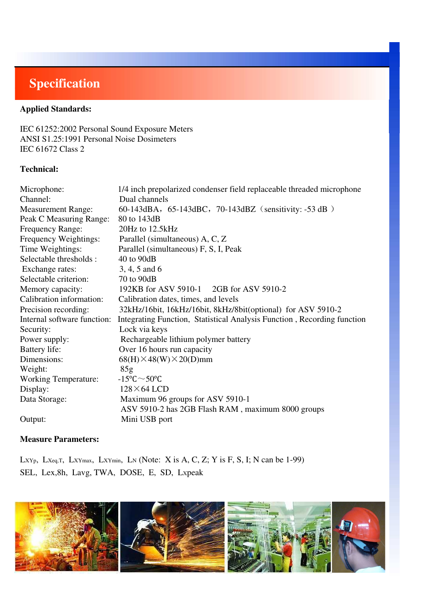# **Specification**

### **Applied Standards:**

IEC 61252:2002 Personal Sound Exposure Meters ANSI S1.25:1991 Personal Noise Dosimeters IEC 61672 Class 2

#### **Technical:**

| Microphone:                 | 1/4 inch prepolarized condenser field replaceable threaded microphone   |
|-----------------------------|-------------------------------------------------------------------------|
| Channel:                    | Dual channels                                                           |
| <b>Measurement Range:</b>   | 60-143dBA, 65-143dBC, 70-143dBZ (sensitivity: -53 dB)                   |
| Peak C Measuring Range:     | 80 to 143dB                                                             |
| <b>Frequency Range:</b>     | 20Hz to 12.5kHz                                                         |
| Frequency Weightings:       | Parallel (simultaneous) A, C, Z                                         |
| Time Weightings:            | Parallel (simultaneous) F, S, I, Peak                                   |
| Selectable thresholds :     | 40 to 90dB                                                              |
| Exchange rates:             | 3, 4, 5 and 6                                                           |
| Selectable criterion:       | 70 to 90dB                                                              |
| Memory capacity:            | 192KB for ASV 5910-1 2GB for ASV 5910-2                                 |
| Calibration information:    | Calibration dates, times, and levels                                    |
| Precision recording:        | 32kHz/16bit, 16kHz/16bit, 8kHz/8bit(optional) for ASV 5910-2            |
| Internal software function: | Integrating Function, Statistical Analysis Function, Recording function |
| Security:                   | Lock via keys                                                           |
| Power supply:               | Rechargeable lithium polymer battery                                    |
| Battery life:               | Over 16 hours run capacity                                              |
| Dimensions:                 | $68(H) \times 48(W) \times 20(D)$ mm                                    |
| Weight:                     | 85g                                                                     |
| <b>Working Temperature:</b> | $-15^{\circ}$ C $\sim$ 50 $^{\circ}$ C                                  |
| Display:                    | $128\times 64$ LCD                                                      |
| Data Storage:               | Maximum 96 groups for ASV 5910-1                                        |
|                             | ASV 5910-2 has 2GB Flash RAM, maximum 8000 groups                       |
| Output:                     | Mini USB port                                                           |

#### **Measure Parameters:**

LXYp, LXeq,T, LXYmax, LXYmin, LN (Note: X is A, C, Z; Y is F, S, I; N can be 1-99) SEL, Lex,8h, Lavg, TWA, DOSE, E, SD, Lxpeak